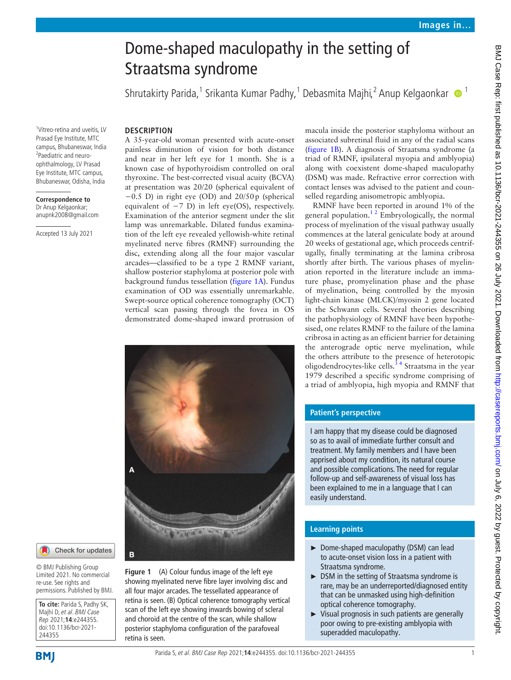# Dome-shaped maculopathy in the setting of Straatsma syndrome

Shrutakirty Parida,<sup>1</sup> Srikanta Kumar Padhy,<sup>1</sup> Debasmita Majhi,<sup>2</sup> Anup Kelgaonkar  $\bullet$  <sup>1</sup>

## **DESCRIPTION**

1 Vitreo-retina and uveitis, LV Prasad Eye Institute, MTC

<sup>2</sup>Paediatric and neuroophthalmology, LV Prasad Eye Institute, MTC campus, Bhubaneswar, Odisha, India

**Correspondence to** Dr Anup Kelgaonkar; anupnk2008@gmail.com

Accepted 13 July 2021

campus, Bhubaneswar, India A 35-year-old woman presented with acute-onset painless diminution of vision for both distance and near in her left eye for 1 month. She is a known case of hypothyroidism controlled on oral thyroxine. The best-corrected visual acuity (BCVA) at presentation was 20/20 (spherical equivalent of −0.5 D) in right eye (OD) and 20/50p (spherical equivalent of  $-7$  D) in left eye(OS), respectively. Examination of the anterior segment under the slit lamp was unremarkable. Dilated fundus examination of the left eye revealed yellowish-white retinal myelinated nerve fibres (RMNF) surrounding the disc, extending along all the four major vascular arcades—classified to be a type 2 RMNF variant, shallow posterior staphyloma at posterior pole with background fundus tessellation ([figure](#page-0-0) 1A). Fundus examination of OD was essentially unremarkable. Swept-source optical coherence tomography (OCT)



vertical scan passing through the fovea in OS demonstrated dome-shaped inward protrusion of

Check for updates

© BMJ Publishing Group Limited 2021. No commercial re-use. See rights and permissions. Published by BMJ.

**To cite:** Parida S, Padhy SK, Majhi D, et al. BMJ Case Rep 2021;**14**:e244355. doi:10.1136/bcr-2021- 244355

<span id="page-0-0"></span>**Figure 1** (A) Colour fundus image of the left eye showing myelinated nerve fibre layer involving disc and all four major arcades. The tessellated appearance of retina is seen. (B) Optical coherence tomography vertical scan of the left eye showing inwards bowing of scleral and choroid at the centre of the scan, while shallow posterior staphyloma configuration of the parafoveal retina is seen.

macula inside the posterior staphyloma without an associated subretinal fluid in any of the radial scans ([figure](#page-0-0) 1B). A diagnosis of Straatsma syndrome (a triad of RMNF, ipsilateral myopia and amblyopia) along with coexistent dome-shaped maculopathy (DSM) was made. Refractive error correction with contact lenses was advised to the patient and counselled regarding anisometropic amblyopia.

RMNF have been reported in around 1% of the general population.<sup>12</sup> Embryologically, the normal process of myelination of the visual pathway usually commences at the lateral geniculate body at around 20 weeks of gestational age, which proceeds centrifugally, finally terminating at the lamina cribrosa shortly after birth. The various phases of myelination reported in the literature include an immature phase, promyelination phase and the phase of myelination, being controlled by the myosin light-chain kinase (MLCK)/myosin 2 gene located in the Schwann cells. Several theories describing the pathophysiology of RMNF have been hypothesised, one relates RMNF to the failure of the lamina cribrosa in acting as an efficient barrier for detaining the anterograde optic nerve myelination, while the others attribute to the presence of heterotopic oligodendrocytes-like cells. $34$  Straatsma in the year 1979 described a specific syndrome comprising of a triad of amblyopia, high myopia and RMNF that

### **Patient's perspective**

I am happy that my disease could be diagnosed so as to avail of immediate further consult and treatment. My family members and I have been apprised about my condition, its natural course and possible complications. The need for regular follow-up and self-awareness of visual loss has been explained to me in a language that I can easily understand.

## **Learning points**

- ► Dome-shaped maculopathy (DSM) can lead to acute-onset vision loss in a patient with Straatsma syndrome.
- ► DSM in the setting of Straatsma syndrome is rare, may be an underreported/diagnosed entity that can be unmasked using high-definition optical coherence tomography.
- ► Visual prognosis in such patients are generally poor owing to pre-existing amblyopia with superadded maculopathy.